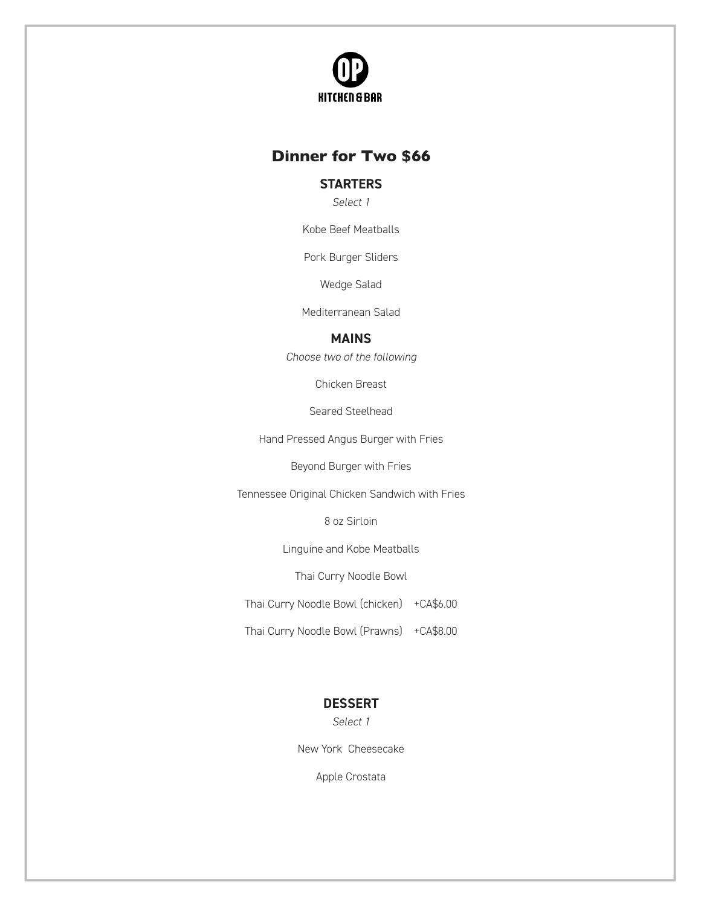

## **Dinner For Two \$60 Dinner for Two \$66**

## **STARTERS STARTERS**

*Select 1* Select 1

Kobe Beef Meatballs Kobe Beef Meatballs

Pork Burger Sliders Pork Burger Sliders

Wedge Salad Wedge Salad

Mediterranean Salad Mediterranean Salad

#### **MAINS**

**MAINS ONE MAINS TWO** *Select 1 Select 1* Choose two of the following

Chicken Breast Chicken Breast

Seared Steelhead Seared Steelhead

Hand Pressed Angus Burger with Fries

Beyond Burger with Fries

Tennessee Original Chicken Sandwich with Fries

8oz Sirloin 8oz Sirloin 8 oz Sirloin

Linguine and Kobe Meatballs Linguine and Kobe Meatballs Linguine and Kobe Meatballs

Thai Curry Noodle Bowl Thai Curry Noodle Bowl Thai Curry Noodle Bowl

Thai Curry Noodle Bowl (chicken) +CA\$6.00

Thai Curry Noodle Bowl (Prawns) +CA\$8.00

#### **DESSERT DESSERT**

*Select 1* Select 1

New York Cheesecake New York Cheesecake

Apple Crostata Apple Crostata